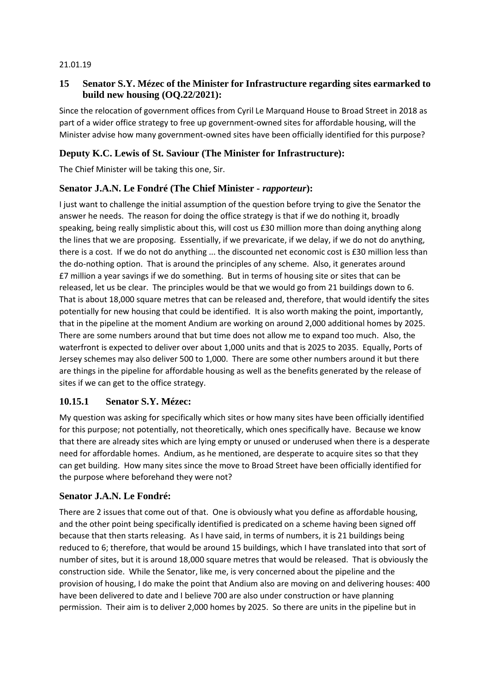#### 21.01.19

## **15 Senator S.Y. Mézec of the Minister for Infrastructure regarding sites earmarked to build new housing (OQ.22/2021):**

Since the relocation of government offices from Cyril Le Marquand House to Broad Street in 2018 as part of a wider office strategy to free up government-owned sites for affordable housing, will the Minister advise how many government-owned sites have been officially identified for this purpose?

# **Deputy K.C. Lewis of St. Saviour (The Minister for Infrastructure):**

The Chief Minister will be taking this one, Sir.

## **Senator J.A.N. Le Fondré (The Chief Minister -** *rapporteur***):**

I just want to challenge the initial assumption of the question before trying to give the Senator the answer he needs. The reason for doing the office strategy is that if we do nothing it, broadly speaking, being really simplistic about this, will cost us £30 million more than doing anything along the lines that we are proposing. Essentially, if we prevaricate, if we delay, if we do not do anything, there is a cost. If we do not do anything ... the discounted net economic cost is £30 million less than the do-nothing option. That is around the principles of any scheme. Also, it generates around £7 million a year savings if we do something. But in terms of housing site or sites that can be released, let us be clear. The principles would be that we would go from 21 buildings down to 6. That is about 18,000 square metres that can be released and, therefore, that would identify the sites potentially for new housing that could be identified. It is also worth making the point, importantly, that in the pipeline at the moment Andium are working on around 2,000 additional homes by 2025. There are some numbers around that but time does not allow me to expand too much. Also, the waterfront is expected to deliver over about 1,000 units and that is 2025 to 2035. Equally, Ports of Jersey schemes may also deliver 500 to 1,000. There are some other numbers around it but there are things in the pipeline for affordable housing as well as the benefits generated by the release of sites if we can get to the office strategy.

## **10.15.1 Senator S.Y. Mézec:**

My question was asking for specifically which sites or how many sites have been officially identified for this purpose; not potentially, not theoretically, which ones specifically have. Because we know that there are already sites which are lying empty or unused or underused when there is a desperate need for affordable homes. Andium, as he mentioned, are desperate to acquire sites so that they can get building. How many sites since the move to Broad Street have been officially identified for the purpose where beforehand they were not?

## **Senator J.A.N. Le Fondré:**

There are 2 issues that come out of that. One is obviously what you define as affordable housing, and the other point being specifically identified is predicated on a scheme having been signed off because that then starts releasing. As I have said, in terms of numbers, it is 21 buildings being reduced to 6; therefore, that would be around 15 buildings, which I have translated into that sort of number of sites, but it is around 18,000 square metres that would be released. That is obviously the construction side. While the Senator, like me, is very concerned about the pipeline and the provision of housing, I do make the point that Andium also are moving on and delivering houses: 400 have been delivered to date and I believe 700 are also under construction or have planning permission. Their aim is to deliver 2,000 homes by 2025. So there are units in the pipeline but in